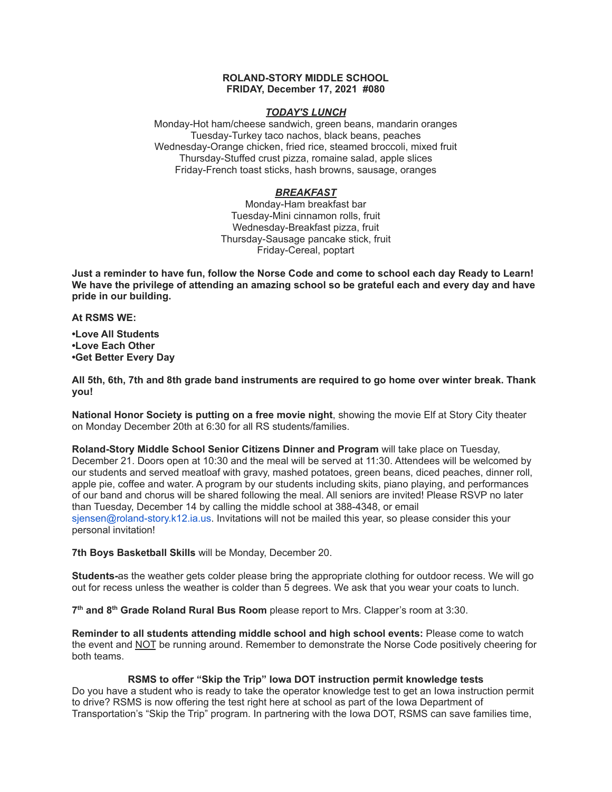## **ROLAND-STORY MIDDLE SCHOOL FRIDAY, December 17, 2021 #080**

#### *TODAY'S LUNCH*

Monday-Hot ham/cheese sandwich, green beans, mandarin oranges Tuesday-Turkey taco nachos, black beans, peaches Wednesday-Orange chicken, fried rice, steamed broccoli, mixed fruit Thursday-Stuffed crust pizza, romaine salad, apple slices Friday-French toast sticks, hash browns, sausage, oranges

## *BREAKFAST*

Monday-Ham breakfast bar Tuesday-Mini cinnamon rolls, fruit Wednesday-Breakfast pizza, fruit Thursday-Sausage pancake stick, fruit Friday-Cereal, poptart

Just a reminder to have fun, follow the Norse Code and come to school each day Ready to Learn! **We have the privilege of attending an amazing school so be grateful each and every day and have pride in our building.**

**At RSMS WE:**

**•Love All Students •Love Each Other •Get Better Every Day**

**All 5th, 6th, 7th and 8th grade band instruments are required to go home over winter break. Thank you!**

**National Honor Society is putting on a free movie night**, showing the movie Elf at Story City theater on Monday December 20th at 6:30 for all RS students/families.

**Roland-Story Middle School Senior Citizens Dinner and Program** will take place on Tuesday, December 21. Doors open at 10:30 and the meal will be served at 11:30. Attendees will be welcomed by our students and served meatloaf with gravy, mashed potatoes, green beans, diced peaches, dinner roll, apple pie, coffee and water. A program by our students including skits, piano playing, and performances of our band and chorus will be shared following the meal. All seniors are invited! Please RSVP no later than Tuesday, December 14 by calling the middle school at 388-4348, or email sjensen@roland-story.k12.ia.us. Invitations will not be mailed this year, so please consider this your personal invitation!

**7th Boys Basketball Skills** will be Monday, December 20.

**Students-**as the weather gets colder please bring the appropriate clothing for outdoor recess. We will go out for recess unless the weather is colder than 5 degrees. We ask that you wear your coats to lunch.

**7 th and 8 th Grade Roland Rural Bus Room** please report to Mrs. Clapper's room at 3:30.

**Reminder to all students attending middle school and high school events:** Please come to watch the event and NOT be running around. Remember to demonstrate the Norse Code positively cheering for both teams.

## **RSMS to offer "Skip the Trip" Iowa DOT instruction permit knowledge tests**

Do you have a student who is ready to take the operator knowledge test to get an Iowa instruction permit to drive? RSMS is now offering the test right here at school as part of the Iowa Department of Transportation's "Skip the Trip" program. In partnering with the Iowa DOT, RSMS can save families time,